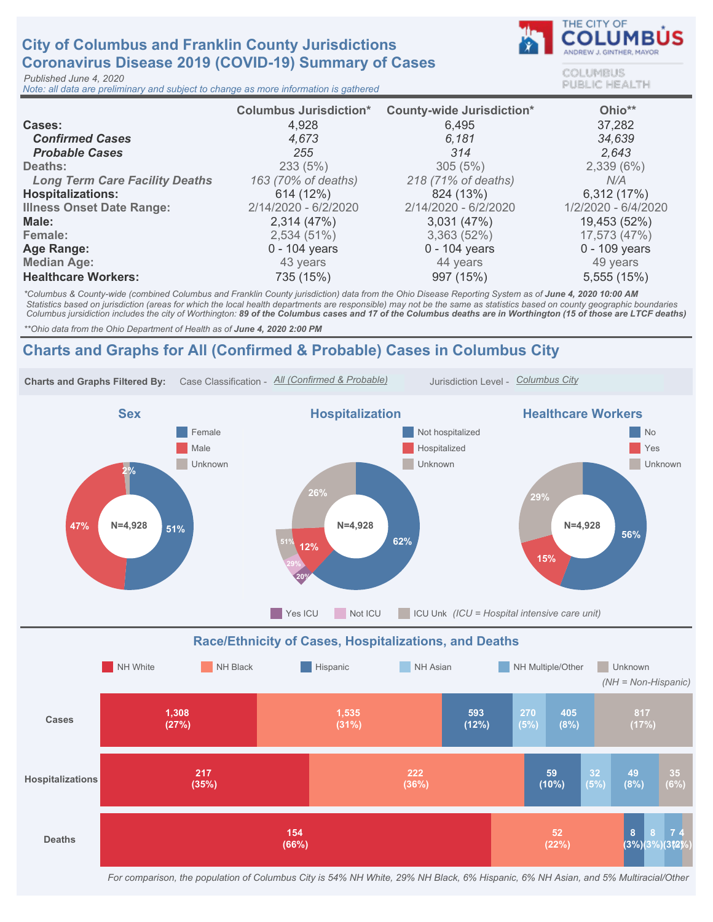# City of Columbus and Franklin County Jurisdictions Coronavirus Disease 2019 (COVID-19) Summary of Cases

Published June 4, 2020

Note: all data are preliminary and subject to change as more information is gathered



COLUMBUS **PUBLIC HEALTH** 

|                                       | <b>Columbus Jurisdiction*</b> | <b>County-wide Jurisdiction*</b> | Ohio**              |
|---------------------------------------|-------------------------------|----------------------------------|---------------------|
| Cases:                                | 4,928                         | 6,495                            | 37,282              |
| <b>Confirmed Cases</b>                | 4.673                         | 6.181                            | 34,639              |
| <b>Probable Cases</b>                 | 255                           | 314                              | 2.643               |
| Deaths:                               | 233(5%)                       | 305(5%)                          | 2,339(6%)           |
| <b>Long Term Care Facility Deaths</b> | 163 (70% of deaths)           | 218 (71% of deaths)              | N/A                 |
| <b>Hospitalizations:</b>              | 614 (12%)                     | 824 (13%)                        | 6,312 (17%)         |
| <b>Illness Onset Date Range:</b>      | 2/14/2020 - 6/2/2020          | 2/14/2020 - 6/2/2020             | 1/2/2020 - 6/4/2020 |
| Male:                                 | 2,314(47%)                    | 3,031(47%)                       | 19,453 (52%)        |
| Female:                               | 2,534(51%)                    | 3,363(52%)                       | 17,573 (47%)        |
| Age Range:                            | $0 - 104$ years               | $0 - 104$ years                  | $0 - 109$ years     |
| <b>Median Age:</b>                    | 43 years                      | 44 years                         | 49 years            |
| <b>Healthcare Workers:</b>            | 735 (15%)                     | 997 (15%)                        | 5,555 (15%)         |

\*Columbus & County-wide (combined Columbus and Franklin County jurisdiction) data from the Ohio Disease Reporting System as of June 4, 2020 10:00 AM Statistics based on jurisdiction (areas for which the local health departments are responsible) may not be the same as statistics based on county geographic boundaries Columbus jursidiction includes the city of Worthington: 89 of the Columbus cases and 17 of the Columbus deaths are in Worthington (15 of those are LTCF deaths)

\*\* Ohio data from the Ohio Department of Health as of June 4, 2020 2:00 PM

## Charts and Graphs for All (Confirmed & Probable) Cases in Columbus City



For comparison, the population of Columbus City is 54% NH White, 29% NH Black, 6% Hispanic, 6% NH Asian, and 5% Multiracial/Other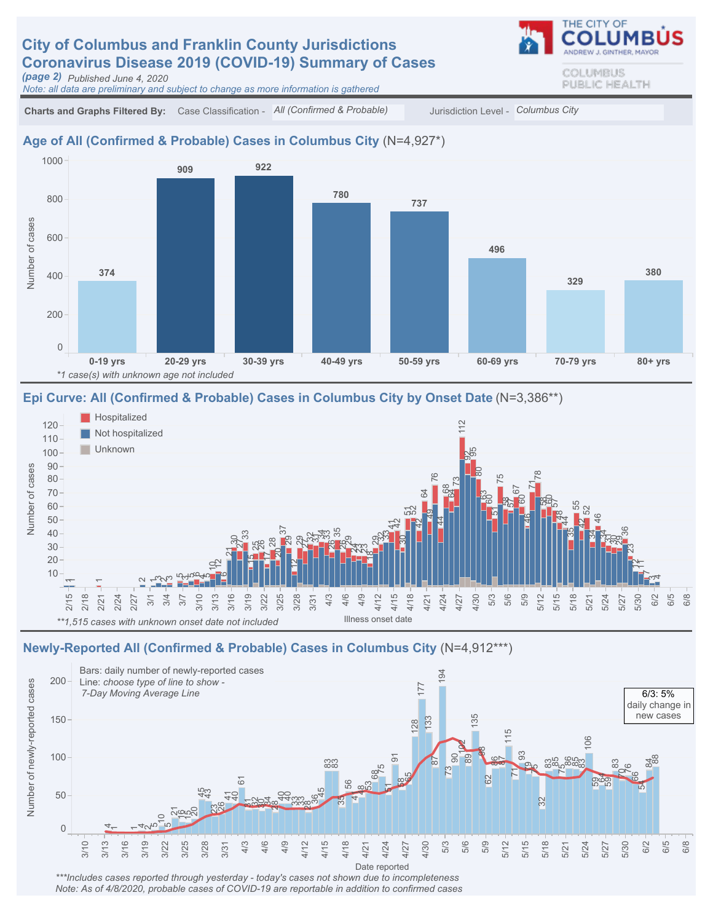# **City of Columbus and Franklin County Jurisdictions** Coronavirus Disease 2019 (COVID-19) Summary of Cases

(page 2) Published June 4, 2020

Note: all data are preliminary and subject to change as more information is gathered

THE CITY OF COLUMBUS PUBLIC HEALTH

Charts and Graphs Filtered By: Case Classification - All (Confirmed & Probable) Jurisdiction Level - Columbus City

#### Age of All (Confirmed & Probable) Cases in Columbus City (N=4,927\*)



#### Epi Curve: All (Confirmed & Probable) Cases in Columbus City by Onset Date (N=3,386\*\*)



### Newly-Reported All (Confirmed & Probable) Cases in Columbus City (N=4,912\*\*\*)



Note: As of 4/8/2020, probable cases of COVID-19 are reportable in addition to confirmed cases